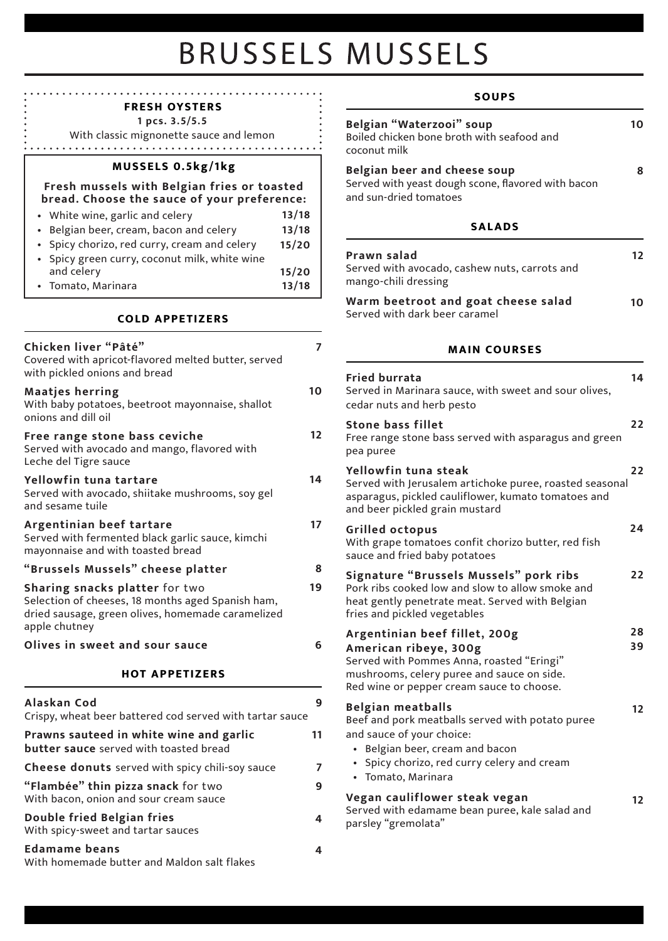# **BRUSSELS MUSSELS**

#### **SOUPS FRESH OYSTERS 1 pcs. 3.5/5.5 Belgian "Waterzooi" soup**  With classic mignonette sauce and lemon Boiled chicken bone broth with seafood and coconut milk **MUSSELS 0.5kg/1kg Belgian beer and cheese soup**  Served with yeast dough scone, flavored with bacon **Fresh mussels with Belgian fries or toasted**  and sun-dried tomatoes **bread. Choose the sauce of your preference: 13/18 SALADS** • White wine, garlic and celery • Belgian beer, cream, bacon and celery **13/18** • Spicy chorizo, red curry, cream and celery **15/20 Prawn salad** • Spicy green curry, coconut milk, white wine Served with avocado, cashew nuts, carrots and **15/20** and celery mango-chili dressing • Tomato, Marinara **13/18 Warm beetroot and goat cheese salad** Served with dark beer caramel **COLD APPETIZERS Chicken liver "Pâté" 7 MAIN COURSES** Covered with apricot-flavored melted butter, served with pickled onions and bread **Fried burrata**  Served in Marinara sauce, with sweet and sour olives, **10 Maatjes herring** With baby potatoes, beetroot mayonnaise, shallot cedar nuts and herb pesto onions and dill oil **Stone bass fillet 12 Free range stone bass ceviche**  Free range stone bass served with asparagus and green Served with avocado and mango, flavored with pea puree Leche del Tigre sauce **Yellowfin tuna steak 14 Yellowfin tuna tartare** Served with Jerusalem artichoke puree, roasted seasonal Served with avocado, shiitake mushrooms, soy gel asparagus, pickled cauliflower, kumato tomatoes and and sesame tuile and beer pickled grain mustard **Argentinian beef tartare 17 Grilled octopus** Served with fermented black garlic sauce, kimchi With grape tomatoes confit chorizo butter, red fish mayonnaise and with toasted bread sauce and fried baby potatoes **"Brussels Mussels" cheese platter 8 Signature "Brussels Mussels" pork ribs 19** Pork ribs cooked low and slow to allow smoke and **Sharing snacks platter** for two Selection of cheeses, 18 months aged Spanish ham, heat gently penetrate meat. Served with Belgian dried sausage, green olives, homemade caramelized fries and pickled vegetables apple chutney **Argentinian beef fillet, 200g Olives in sweet and sour sauce 6 American ribeye, 300g**  Served with Pommes Anna, roasted "Eringi" **HOT APPETIZERS** mushrooms, celery puree and sauce on side. Red wine or pepper cream sauce to choose. **Alaskan Cod 9 Belgian meatballs** Crispy, wheat beer battered cod served with tartar sauce Beef and pork meatballs served with potato puree and sauce of your choice: **Prawns sauteed in white wine and garlic 11 butter sauce** served with toasted bread • Belgian beer, cream and bacon

**7 9**

**4**

**4**

• Spicy chorizo, red curry celery and cream • Tomato, Marinara

### **Vegan cauliflower steak vegan**

Served with edamame bean puree, kale salad and parsley "gremolata"

**10**

**8**

**12**

**10**

**14**

**22**

**22**

**24**

**22**

**28 39**

**12**

**12**

**Edamame beans** With homemade butter and Maldon salt flakes

**Cheese donuts** served with spicy chili-soy sauce

**"Flambée" thin pizza snack** for two With bacon, onion and sour cream sauce

**Double fried Belgian fries**  With spicy-sweet and tartar sauces